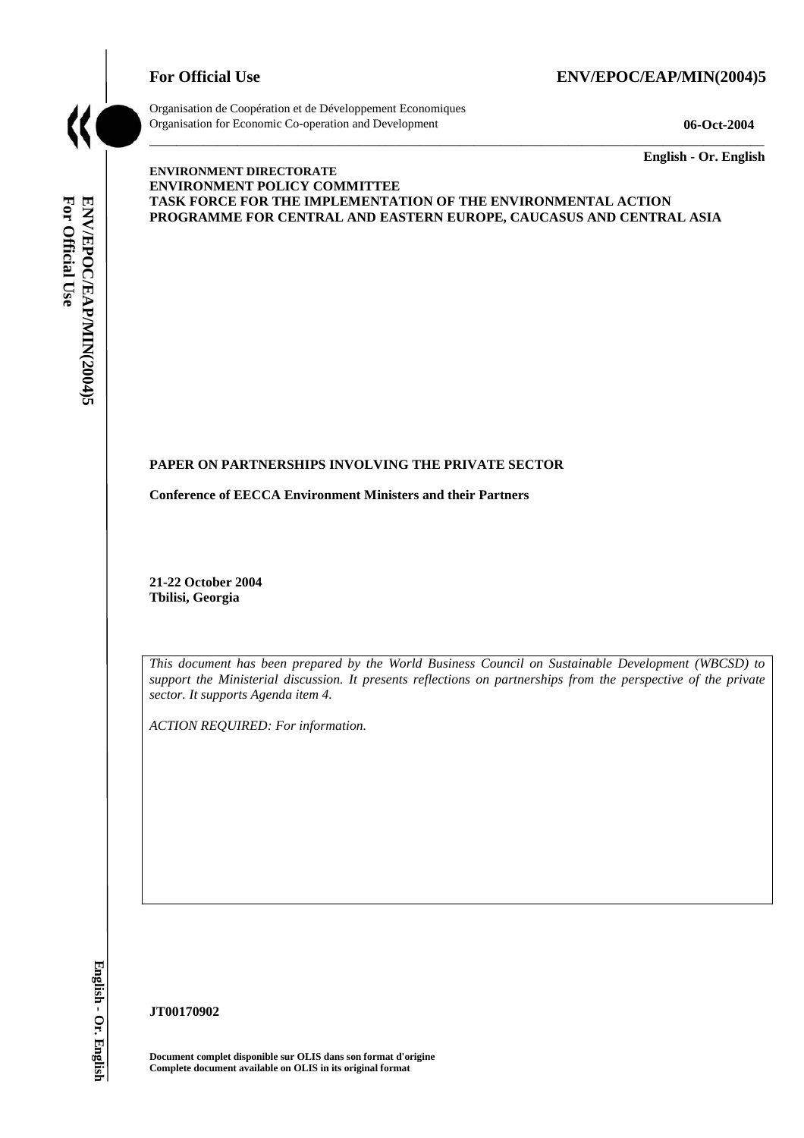# For Official Use ENV/EPOC/EAP/MIN(2004)5



Organisation de Coopération et de Développement Economiques Organisation for Economic Co-operation and Development **06-Oct-2004** 

\_\_\_\_\_\_\_\_\_\_\_\_\_ **English - Or. English** 

# For Official Use **For Official Use**  ENV/EPOC/EAP/MIN(2004)5 **ENV/EPOC/EAP/MIN(2004)5 English - Or. English**

### **ENVIRONMENT DIRECTORATE ENVIRONMENT POLICY COMMITTEE TASK FORCE FOR THE IMPLEMENTATION OF THE ENVIRONMENTAL ACTION PROGRAMME FOR CENTRAL AND EASTERN EUROPE, CAUCASUS AND CENTRAL ASIA**

\_\_\_\_\_\_\_\_\_\_\_\_\_\_\_\_\_\_\_\_\_\_\_\_\_\_\_\_\_\_\_\_\_\_\_\_\_\_\_\_\_\_\_\_\_\_\_\_\_\_\_\_\_\_\_\_\_\_\_\_\_\_\_\_\_\_\_\_\_\_\_\_\_\_\_\_\_\_\_\_\_\_\_\_\_\_\_\_\_\_\_

# **PAPER ON PARTNERSHIPS INVOLVING THE PRIVATE SECTOR**

**Conference of EECCA Environment Ministers and their Partners** 

**21-22 October 2004 Tbilisi, Georgia** 

*This document has been prepared by the World Business Council on Sustainable Development (WBCSD) to support the Ministerial discussion. It presents reflections on partnerships from the perspective of the private sector. It supports Agenda item 4.* 

*ACTION REQUIRED: For information.* 

**JT00170902** 

**Document complet disponible sur OLIS dans son format d'origine Complete document available on OLIS in its original format**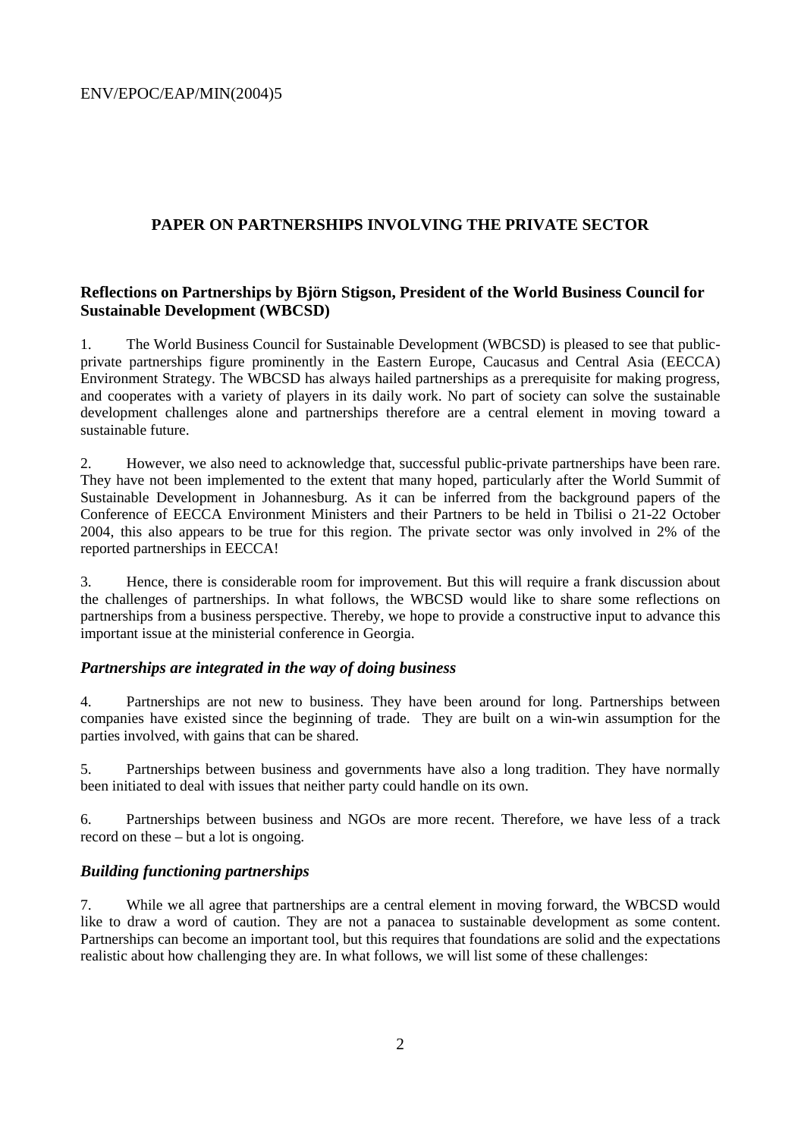# **PAPER ON PARTNERSHIPS INVOLVING THE PRIVATE SECTOR**

# **Reflections on Partnerships by Björn Stigson, President of the World Business Council for Sustainable Development (WBCSD)**

1. The World Business Council for Sustainable Development (WBCSD) is pleased to see that publicprivate partnerships figure prominently in the Eastern Europe, Caucasus and Central Asia (EECCA) Environment Strategy. The WBCSD has always hailed partnerships as a prerequisite for making progress, and cooperates with a variety of players in its daily work. No part of society can solve the sustainable development challenges alone and partnerships therefore are a central element in moving toward a sustainable future.

2. However, we also need to acknowledge that, successful public-private partnerships have been rare. They have not been implemented to the extent that many hoped, particularly after the World Summit of Sustainable Development in Johannesburg. As it can be inferred from the background papers of the Conference of EECCA Environment Ministers and their Partners to be held in Tbilisi o 21-22 October 2004, this also appears to be true for this region. The private sector was only involved in 2% of the reported partnerships in EECCA!

3. Hence, there is considerable room for improvement. But this will require a frank discussion about the challenges of partnerships. In what follows, the WBCSD would like to share some reflections on partnerships from a business perspective. Thereby, we hope to provide a constructive input to advance this important issue at the ministerial conference in Georgia.

# *Partnerships are integrated in the way of doing business*

4. Partnerships are not new to business. They have been around for long. Partnerships between companies have existed since the beginning of trade. They are built on a win-win assumption for the parties involved, with gains that can be shared.

5. Partnerships between business and governments have also a long tradition. They have normally been initiated to deal with issues that neither party could handle on its own.

6. Partnerships between business and NGOs are more recent. Therefore, we have less of a track record on these – but a lot is ongoing.

# *Building functioning partnerships*

7. While we all agree that partnerships are a central element in moving forward, the WBCSD would like to draw a word of caution. They are not a panacea to sustainable development as some content. Partnerships can become an important tool, but this requires that foundations are solid and the expectations realistic about how challenging they are. In what follows, we will list some of these challenges: